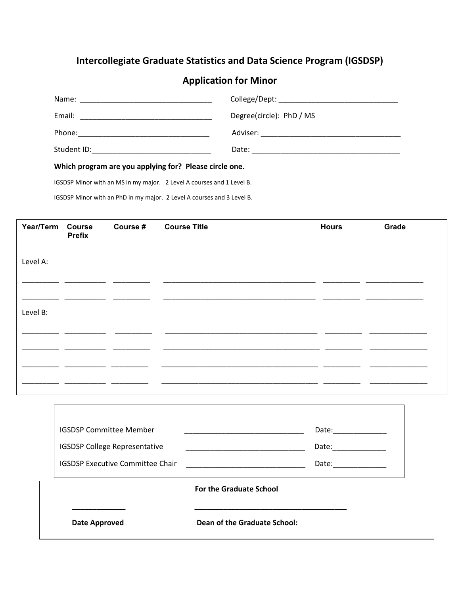## **Intercollegiate Graduate Statistics and Data Science Program (IGSDSP)**

## **Application for Minor**

| Which program are you applying for? Please circle one. |                          |  |  |  |  |
|--------------------------------------------------------|--------------------------|--|--|--|--|
|                                                        |                          |  |  |  |  |
|                                                        |                          |  |  |  |  |
| Email:                                                 | Degree(circle): PhD / MS |  |  |  |  |
|                                                        |                          |  |  |  |  |

IGSDSP Minor with an MS in my major. 2 Level A courses and 1 Level B.

IGSDSP Minor with an PhD in my major. 2 Level A courses and 3 Level B.

Γ

| Year/Term Course | <b>Prefix</b> | Course # Course Title | <b>Hours</b> | Grade |
|------------------|---------------|-----------------------|--------------|-------|
| Level A:         |               |                       |              |       |
| Level B:         |               |                       |              |       |
|                  |               |                       |              |       |
|                  |               |                       |              |       |
|                  |               |                       |              |       |

|                                | <b>IGSDSP Committee Member</b>          |                              | Date: |  |  |
|--------------------------------|-----------------------------------------|------------------------------|-------|--|--|
|                                | <b>IGSDSP College Representative</b>    |                              | Date: |  |  |
|                                | <b>IGSDSP Executive Committee Chair</b> |                              | Date: |  |  |
|                                |                                         |                              |       |  |  |
| <b>For the Graduate School</b> |                                         |                              |       |  |  |
|                                |                                         |                              |       |  |  |
|                                | Date Approved                           | Dean of the Graduate School: |       |  |  |